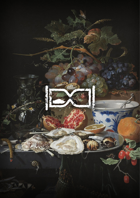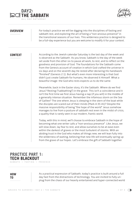



#### **OVERVIEW**

For today's practice we will be digging into the disciplines of fasting and sabbath rest, and exploring the art of being a "non-anxious presence" in the transitional seasons of our lives. This wilderness practice is designed to be a full-day experience but you are welcome to modify it for your context.

### **CONTEXT**

According to the Jewish calendar Saturday is the last day of the week and is observed as the Sabbath. As you know, Sabbath is the day of the week set aside from the other six to pause all work, to rest, and to refect on the goodness and provision of God. The foundations for the Sabbath come from the Genesis account of creation in which God crafted the universe in six days and on the seventh day He rested after declaring His handiwork "fnished" (Genesis 2:1). But what's even more interesting is that God didn't just create Sabbath for humans, He observed it Himself. What a beautiful image: the God who rests expects us to do the same.

Meanwhile, back in the Easter story, it's the Sabbath. Where do we fnd Jesus? Resting ("sabbathing") in the grave. This isn't a coincidence and it isn't the frst time we fnd Jesus having a nap (if you will) in the middle of a generally intense situation. Remember the infamous storm on the Sea of Galilee? The one where Jesus is sleeping in the stern of the boat while the disciples are scared out of their minds (Mark 4:35-41)? Despite the massive responsibility of being "the hope of the world" Jesus somehow manages to live from a posture of sabbath rest even in the midst of crisis; a quality that is rarely seen in our modern, frantic world.

Today, with this in mind, we'll choose to embrace Sabbath in the hope of becoming what one writer calls a "non-anxious presence". Like Jesus, we will slow down, lay fear to rest, and allow ourselves to be at ease even within the darkest of graves or the most turbulent of storms. With an abiding trust in the God who makes all things new, we will lean fully into the wilderness of waiting, believing that new life will eventually spring up from the grave of our hopes. Let's embrace the gift of Sabbath together.

# **PRACTICE PART 1: TECH BLACKOUT**

SABBATH | FASTING | PRESENCE

**HOW TO**

As a practical expression of Sabbath, today's practice is built around a full day fast from the distractions of technology. You are invited to fully unplug from the chaos of our heavily entertained and hyper-connected world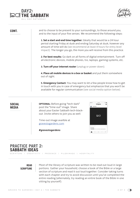



## **CONT.** and to choose to be present to your surroundings, to those around you, and to the input of your five senses. We recommend the following steps: **1. Set a start and end time together:** Ideally that would be a 24 hour period starting Friday at dusk and ending Saturday at dusk, however any amount of time will do (we recommend at least 4 hours for entry level impact). The longer you go, the more you will receive from this practice. **2. For best results:** Go dark on all forms of digital entertainment. Turn off all electronic devices, mobile phones, tvs, laptops, gaming systems, etc. **3. Turn off your internet router** (unplug or power down). **4. Place all mobile devices in a box or basket** and put them somewhere out of sight. **5. Emergency Contact:** You may want to let a few people know how to get in touch with you in case of emergency but emphasize that you won't be available for regular communication (see social media option below). **SOCIAL OPTIONAL:** Before going "tech-dark" **Instance MEDIA** post the "time-out" image. Share about your Easter Sabbath tech-blackout. Invite others to join you as well.  $|\mathbb{R}$

Time-out image availble at gravestogardens.com

*#gravestogardens*



# **PRACTICE PART 2: SABBATH IDEAS**

SCRIPTURE | CREATIVITY | PRESENCE | PILGRIMAGE | HOSPITALITY

#### **READ SCRIPTURE**

Most of the library of scripture was written to be read out loud in large portions. Gather your household, choose a book of the Bible or a large section of scripture and read it out loud together. Consider taking turns with each chapter and try to avoid discussion until you've completed the entire reading (alternately, try reading an entire book of the Bible in one sitting by yourself).